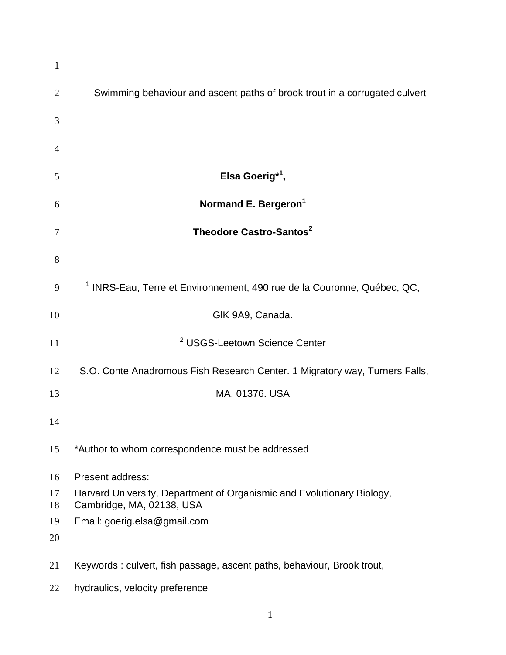| $\mathbf{1}$   |                                                                                                     |
|----------------|-----------------------------------------------------------------------------------------------------|
| $\overline{2}$ | Swimming behaviour and ascent paths of brook trout in a corrugated culvert                          |
| 3              |                                                                                                     |
| $\overline{4}$ |                                                                                                     |
| 5              | Elsa Goerig <sup>*1</sup> ,                                                                         |
| 6              | Normand E. Bergeron <sup>1</sup>                                                                    |
| 7              | Theodore Castro-Santos <sup>2</sup>                                                                 |
| 8              |                                                                                                     |
| 9              | <sup>1</sup> INRS-Eau, Terre et Environnement, 490 rue de la Couronne, Québec, QC,                  |
| 10             | GIK 9A9, Canada.                                                                                    |
| 11             | <sup>2</sup> USGS-Leetown Science Center                                                            |
| 12             | S.O. Conte Anadromous Fish Research Center. 1 Migratory way, Turners Falls,                         |
| 13             | MA, 01376. USA                                                                                      |
| 14             |                                                                                                     |
| 15             | *Author to whom correspondence must be addressed                                                    |
| 16             | Present address:                                                                                    |
| 17<br>18       | Harvard University, Department of Organismic and Evolutionary Biology,<br>Cambridge, MA, 02138, USA |
| 19             | Email: goerig.elsa@gmail.com                                                                        |
| 20             |                                                                                                     |
| 21             | Keywords: culvert, fish passage, ascent paths, behaviour, Brook trout,                              |
| 22             | hydraulics, velocity preference                                                                     |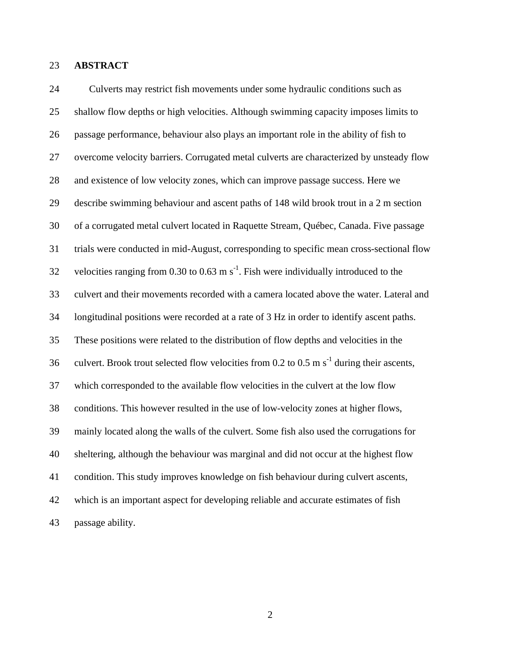## **ABSTRACT**

 Culverts may restrict fish movements under some hydraulic conditions such as shallow flow depths or high velocities. Although swimming capacity imposes limits to passage performance, behaviour also plays an important role in the ability of fish to overcome velocity barriers. Corrugated metal culverts are characterized by unsteady flow and existence of low velocity zones, which can improve passage success. Here we describe swimming behaviour and ascent paths of 148 wild brook trout in a 2 m section of a corrugated metal culvert located in Raquette Stream, Québec, Canada. Five passage trials were conducted in mid-August, corresponding to specific mean cross-sectional flow 32 velocities ranging from 0.30 to 0.63 m  $s^{-1}$ . Fish were individually introduced to the culvert and their movements recorded with a camera located above the water. Lateral and longitudinal positions were recorded at a rate of 3 Hz in order to identify ascent paths. These positions were related to the distribution of flow depths and velocities in the 36 culvert. Brook trout selected flow velocities from 0.2 to 0.5 m  $s^{-1}$  during their ascents, which corresponded to the available flow velocities in the culvert at the low flow conditions. This however resulted in the use of low-velocity zones at higher flows, mainly located along the walls of the culvert. Some fish also used the corrugations for sheltering, although the behaviour was marginal and did not occur at the highest flow condition. This study improves knowledge on fish behaviour during culvert ascents, which is an important aspect for developing reliable and accurate estimates of fish passage ability.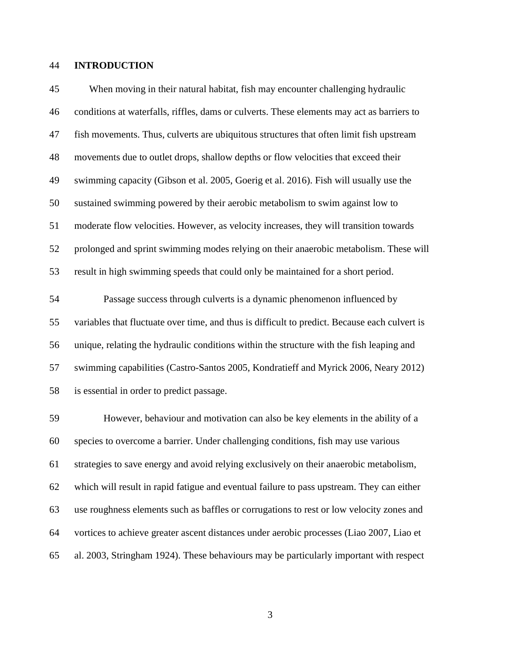## **INTRODUCTION**

 When moving in their natural habitat, fish may encounter challenging hydraulic conditions at waterfalls, riffles, dams or culverts. These elements may act as barriers to fish movements. Thus, culverts are ubiquitous structures that often limit fish upstream movements due to outlet drops, shallow depths or flow velocities that exceed their swimming capacity (Gibson et al. 2005, Goerig et al. 2016). Fish will usually use the sustained swimming powered by their aerobic metabolism to swim against low to moderate flow velocities. However, as velocity increases, they will transition towards prolonged and sprint swimming modes relying on their anaerobic metabolism. These will result in high swimming speeds that could only be maintained for a short period.

 Passage success through culverts is a dynamic phenomenon influenced by variables that fluctuate over time, and thus is difficult to predict. Because each culvert is unique, relating the hydraulic conditions within the structure with the fish leaping and swimming capabilities (Castro-Santos 2005, Kondratieff and Myrick 2006, Neary 2012) is essential in order to predict passage.

 However, behaviour and motivation can also be key elements in the ability of a species to overcome a barrier. Under challenging conditions, fish may use various strategies to save energy and avoid relying exclusively on their anaerobic metabolism, which will result in rapid fatigue and eventual failure to pass upstream. They can either use roughness elements such as baffles or corrugations to rest or low velocity zones and vortices to achieve greater ascent distances under aerobic processes (Liao 2007, Liao et al. 2003, Stringham 1924). These behaviours may be particularly important with respect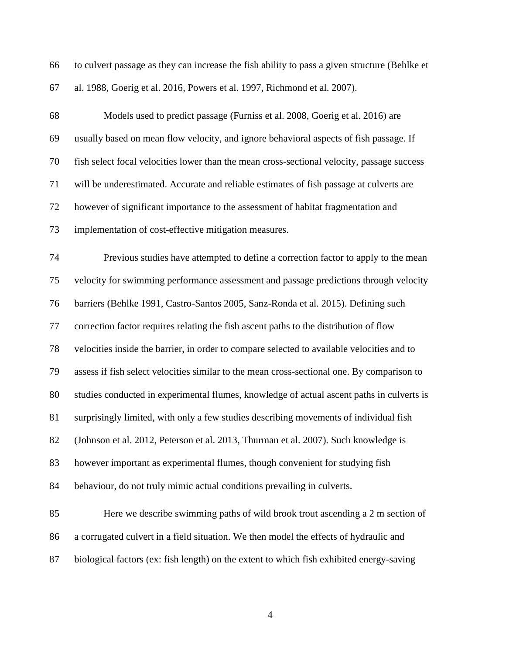| 66 to culvert passage as they can increase the fish ability to pass a given structure (Behlke et |
|--------------------------------------------------------------------------------------------------|
| 67 al. 1988, Goerig et al. 2016, Powers et al. 1997, Richmond et al. 2007).                      |

 Models used to predict passage (Furniss et al. 2008, Goerig et al. 2016) are usually based on mean flow velocity, and ignore behavioral aspects of fish passage. If fish select focal velocities lower than the mean cross-sectional velocity, passage success will be underestimated. Accurate and reliable estimates of fish passage at culverts are however of significant importance to the assessment of habitat fragmentation and implementation of cost-effective mitigation measures.

 Previous studies have attempted to define a correction factor to apply to the mean velocity for swimming performance assessment and passage predictions through velocity barriers (Behlke 1991, Castro-Santos 2005, Sanz-Ronda et al. 2015). Defining such correction factor requires relating the fish ascent paths to the distribution of flow velocities inside the barrier, in order to compare selected to available velocities and to assess if fish select velocities similar to the mean cross-sectional one. By comparison to studies conducted in experimental flumes, knowledge of actual ascent paths in culverts is surprisingly limited, with only a few studies describing movements of individual fish (Johnson et al. 2012, Peterson et al. 2013, Thurman et al. 2007). Such knowledge is however important as experimental flumes, though convenient for studying fish behaviour, do not truly mimic actual conditions prevailing in culverts. Here we describe swimming paths of wild brook trout ascending a 2 m section of

- a corrugated culvert in a field situation. We then model the effects of hydraulic and
- biological factors (ex: fish length) on the extent to which fish exhibited energy-saving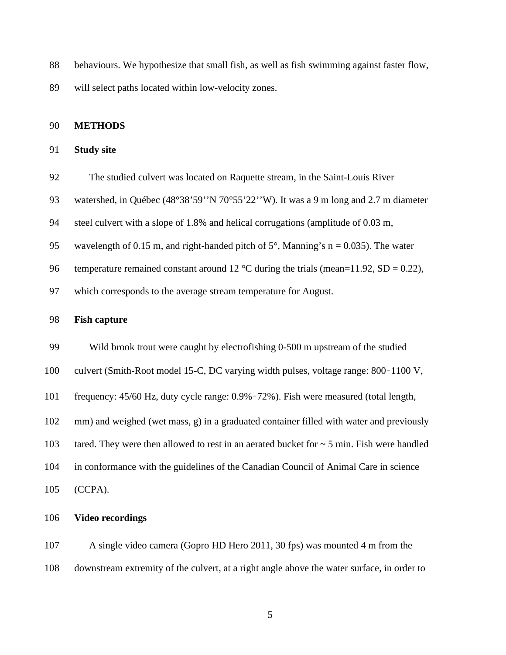behaviours. We hypothesize that small fish, as well as fish swimming against faster flow,

will select paths located within low-velocity zones.

## **METHODS**

# **Study site**

- The studied culvert was located on Raquette stream, in the Saint-Louis River
- watershed, in Québec (48°38'59''N 70°55'22''W). It was a 9 m long and 2.7 m diameter
- steel culvert with a slope of 1.8% and helical corrugations (amplitude of 0.03 m,
- 95 wavelength of 0.15 m, and right-handed pitch of  $5^\circ$ , Manning's n = 0.035). The water
- 96 temperature remained constant around 12 °C during the trials (mean=11.92, SD = 0.22),
- which corresponds to the average stream temperature for August.

## **Fish capture**

- Wild brook trout were caught by electrofishing 0-500 m upstream of the studied
- culvert (Smith-Root model 15-C, DC varying width pulses, voltage range: 800–1100 V,
- frequency: 45/60 Hz, duty cycle range: 0.9%–72%). Fish were measured (total length,
- mm) and weighed (wet mass, g) in a graduated container filled with water and previously
- 103 tared. They were then allowed to rest in an aerated bucket for  $\sim$  5 min. Fish were handled
- in conformance with the guidelines of the Canadian Council of Animal Care in science
- (CCPA).

### **Video recordings**

 A single video camera (Gopro HD Hero 2011, 30 fps) was mounted 4 m from the downstream extremity of the culvert, at a right angle above the water surface, in order to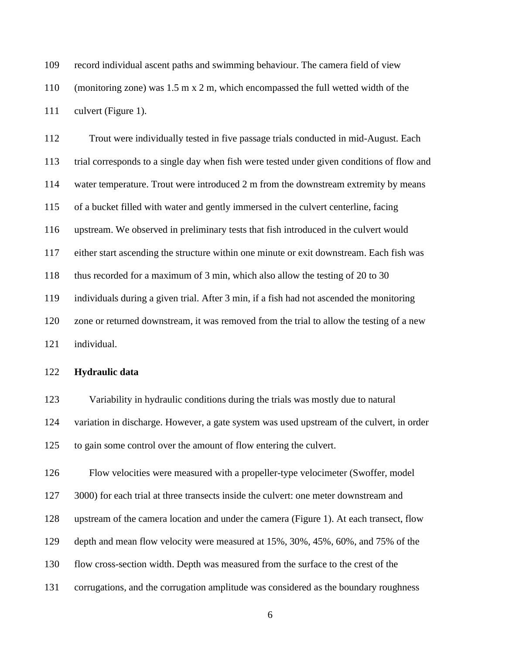record individual ascent paths and swimming behaviour. The camera field of view (monitoring zone) was 1.5 m x 2 m, which encompassed the full wetted width of the culvert (Figure 1).

 Trout were individually tested in five passage trials conducted in mid-August. Each trial corresponds to a single day when fish were tested under given conditions of flow and water temperature. Trout were introduced 2 m from the downstream extremity by means of a bucket filled with water and gently immersed in the culvert centerline, facing upstream. We observed in preliminary tests that fish introduced in the culvert would either start ascending the structure within one minute or exit downstream. Each fish was thus recorded for a maximum of 3 min, which also allow the testing of 20 to 30 individuals during a given trial. After 3 min, if a fish had not ascended the monitoring zone or returned downstream, it was removed from the trial to allow the testing of a new

individual.

### **Hydraulic data**

 Variability in hydraulic conditions during the trials was mostly due to natural variation in discharge. However, a gate system was used upstream of the culvert, in order to gain some control over the amount of flow entering the culvert.

Flow velocities were measured with a propeller-type velocimeter (Swoffer, model

3000) for each trial at three transects inside the culvert: one meter downstream and

upstream of the camera location and under the camera (Figure 1). At each transect, flow

depth and mean flow velocity were measured at 15%, 30%, 45%, 60%, and 75% of the

- flow cross-section width. Depth was measured from the surface to the crest of the
- corrugations, and the corrugation amplitude was considered as the boundary roughness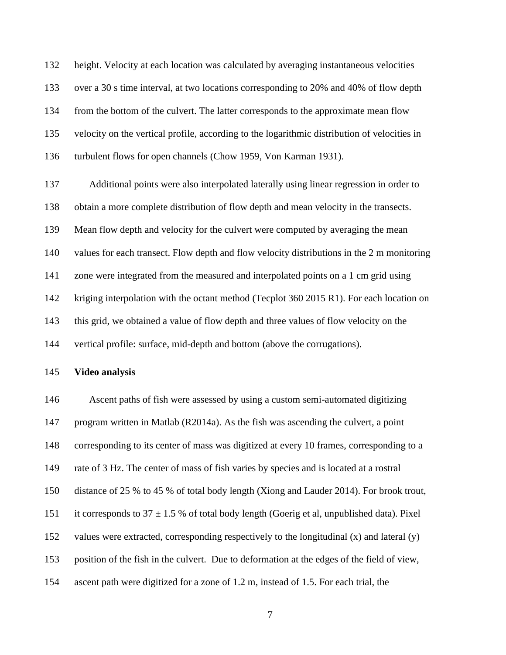height. Velocity at each location was calculated by averaging instantaneous velocities over a 30 s time interval, at two locations corresponding to 20% and 40% of flow depth from the bottom of the culvert. The latter corresponds to the approximate mean flow velocity on the vertical profile, according to the logarithmic distribution of velocities in turbulent flows for open channels (Chow 1959, Von Karman 1931).

 Additional points were also interpolated laterally using linear regression in order to obtain a more complete distribution of flow depth and mean velocity in the transects. Mean flow depth and velocity for the culvert were computed by averaging the mean values for each transect. Flow depth and flow velocity distributions in the 2 m monitoring zone were integrated from the measured and interpolated points on a 1 cm grid using 142 kriging interpolation with the octant method (Tecplot 360 2015 R1). For each location on this grid, we obtained a value of flow depth and three values of flow velocity on the vertical profile: surface, mid-depth and bottom (above the corrugations).

#### **Video analysis**

 Ascent paths of fish were assessed by using a custom semi-automated digitizing program written in Matlab (R2014a). As the fish was ascending the culvert, a point corresponding to its center of mass was digitized at every 10 frames, corresponding to a rate of 3 Hz. The center of mass of fish varies by species and is located at a rostral distance of 25 % to 45 % of total body length (Xiong and Lauder 2014). For brook trout, 151 it corresponds to  $37 \pm 1.5$  % of total body length (Goerig et al, unpublished data). Pixel values were extracted, corresponding respectively to the longitudinal (x) and lateral (y) position of the fish in the culvert. Due to deformation at the edges of the field of view, ascent path were digitized for a zone of 1.2 m, instead of 1.5. For each trial, the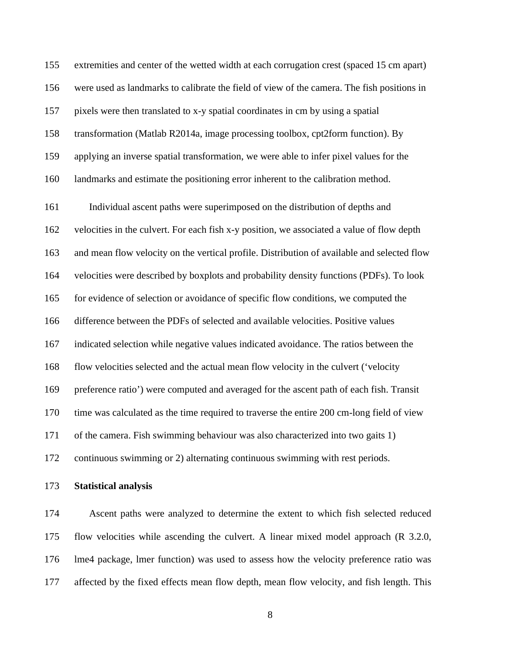extremities and center of the wetted width at each corrugation crest (spaced 15 cm apart) were used as landmarks to calibrate the field of view of the camera. The fish positions in pixels were then translated to x-y spatial coordinates in cm by using a spatial transformation (Matlab R2014a, image processing toolbox, cpt2form function). By applying an inverse spatial transformation, we were able to infer pixel values for the landmarks and estimate the positioning error inherent to the calibration method.

 Individual ascent paths were superimposed on the distribution of depths and velocities in the culvert. For each fish x-y position, we associated a value of flow depth and mean flow velocity on the vertical profile. Distribution of available and selected flow velocities were described by boxplots and probability density functions (PDFs). To look for evidence of selection or avoidance of specific flow conditions, we computed the difference between the PDFs of selected and available velocities. Positive values indicated selection while negative values indicated avoidance. The ratios between the flow velocities selected and the actual mean flow velocity in the culvert ('velocity preference ratio') were computed and averaged for the ascent path of each fish. Transit time was calculated as the time required to traverse the entire 200 cm-long field of view of the camera. Fish swimming behaviour was also characterized into two gaits 1) continuous swimming or 2) alternating continuous swimming with rest periods.

**Statistical analysis**

 Ascent paths were analyzed to determine the extent to which fish selected reduced flow velocities while ascending the culvert. A linear mixed model approach (R 3.2.0, lme4 package, lmer function) was used to assess how the velocity preference ratio was affected by the fixed effects mean flow depth, mean flow velocity, and fish length. This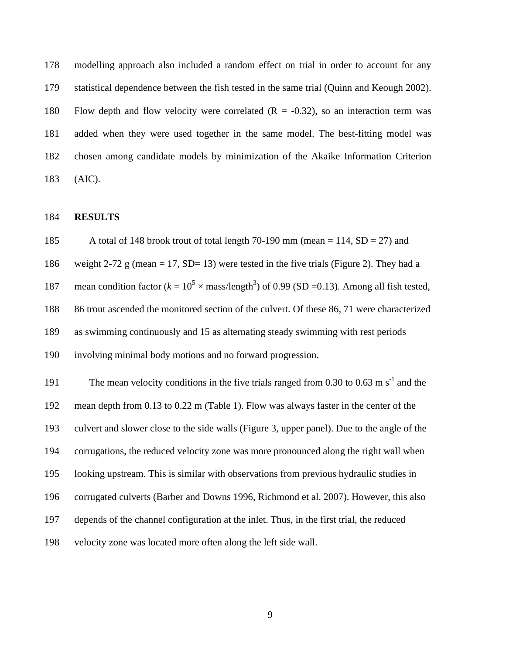modelling approach also included a random effect on trial in order to account for any statistical dependence between the fish tested in the same trial (Quinn and Keough 2002). 180 Flow depth and flow velocity were correlated  $(R = -0.32)$ , so an interaction term was added when they were used together in the same model. The best-fitting model was chosen among candidate models by minimization of the Akaike Information Criterion (AIC).

### **RESULTS**

 A total of 148 brook trout of total length 70-190 mm (mean = 114, SD = 27) and 186 weight 2-72 g (mean = 17, SD= 13) were tested in the five trials (Figure 2). They had a 187 mean condition factor  $(k = 10^5 \times \text{mass/length}^3)$  of 0.99 (SD =0.13). Among all fish tested, 86 trout ascended the monitored section of the culvert. Of these 86, 71 were characterized as swimming continuously and 15 as alternating steady swimming with rest periods involving minimal body motions and no forward progression.

The mean velocity conditions in the five trials ranged from  $0.30$  to  $0.63$  m s<sup>-1</sup> and the mean depth from 0.13 to 0.22 m (Table 1). Flow was always faster in the center of the culvert and slower close to the side walls (Figure 3, upper panel). Due to the angle of the corrugations, the reduced velocity zone was more pronounced along the right wall when looking upstream. This is similar with observations from previous hydraulic studies in corrugated culverts (Barber and Downs 1996, Richmond et al. 2007). However, this also depends of the channel configuration at the inlet. Thus, in the first trial, the reduced velocity zone was located more often along the left side wall.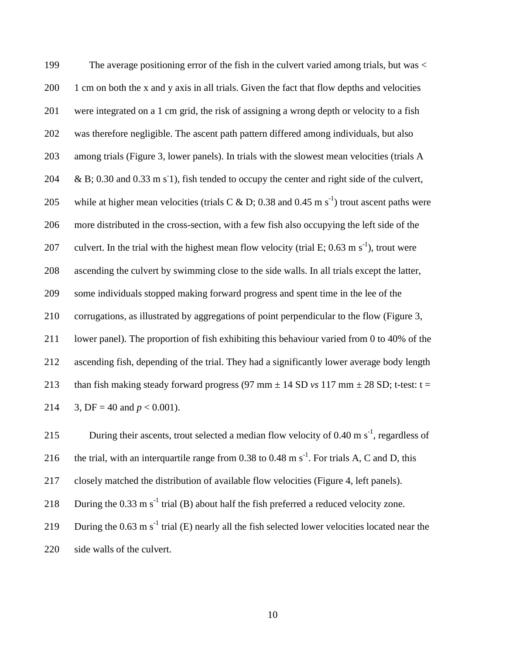The average positioning error of the fish in the culvert varied among trials, but was < 200 1 cm on both the x and y axis in all trials. Given the fact that flow depths and velocities were integrated on a 1 cm grid, the risk of assigning a wrong depth or velocity to a fish was therefore negligible. The ascent path pattern differed among individuals, but also among trials (Figure 3, lower panels). In trials with the slowest mean velocities (trials A  $\& B$ ; 0.30 and 0.33 m s<sup>-1</sup>), fish tended to occupy the center and right side of the culvert, 205 while at higher mean velocities (trials C & D; 0.38 and 0.45 m s<sup>-1</sup>) trout ascent paths were more distributed in the cross-section, with a few fish also occupying the left side of the 207 culvert. In the trial with the highest mean flow velocity (trial E; 0.63 m s<sup>-1</sup>), trout were ascending the culvert by swimming close to the side walls. In all trials except the latter, some individuals stopped making forward progress and spent time in the lee of the corrugations, as illustrated by aggregations of point perpendicular to the flow (Figure 3, lower panel). The proportion of fish exhibiting this behaviour varied from 0 to 40% of the ascending fish, depending of the trial. They had a significantly lower average body length 213 than fish making steady forward progress (97 mm  $\pm$  14 SD *vs* 117 mm  $\pm$  28 SD; t-test: t = 214 3, DF = 40 and  $p < 0.001$ ).

215 During their ascents, trout selected a median flow velocity of 0.40 m  $s^{-1}$ , regardless of 216 the trial, with an interquartile range from 0.38 to 0.48 m  $s^{-1}$ . For trials A, C and D, this 217 closely matched the distribution of available flow velocities (Figure 4, left panels).

218 During the 0.33 m s<sup>-1</sup> trial (B) about half the fish preferred a reduced velocity zone.

219 During the  $0.63 \text{ m s}^{-1}$  trial (E) nearly all the fish selected lower velocities located near the

220 side walls of the culvert.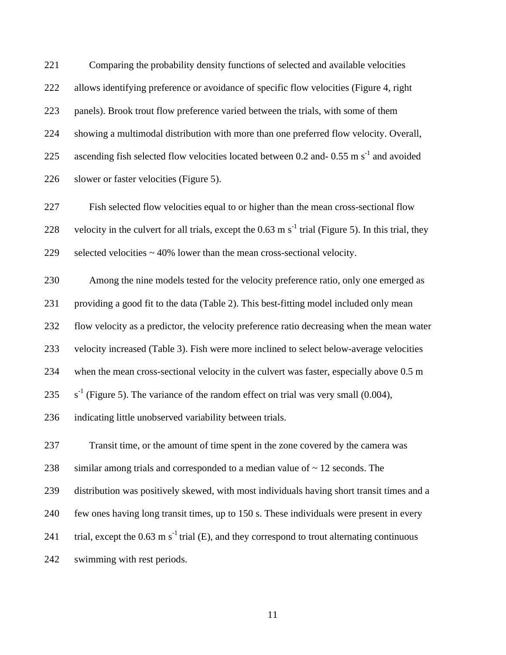Comparing the probability density functions of selected and available velocities allows identifying preference or avoidance of specific flow velocities (Figure 4, right panels). Brook trout flow preference varied between the trials, with some of them showing a multimodal distribution with more than one preferred flow velocity. Overall, 225 ascending fish selected flow velocities located between 0.2 and-0.55 m  $s^{-1}$  and avoided slower or faster velocities (Figure 5).

 Fish selected flow velocities equal to or higher than the mean cross-sectional flow 228 velocity in the culvert for all trials, except the 0.63 m  $s^{-1}$  trial (Figure 5). In this trial, they selected velocities ~ 40% lower than the mean cross-sectional velocity.

 Among the nine models tested for the velocity preference ratio, only one emerged as providing a good fit to the data (Table 2). This best-fitting model included only mean flow velocity as a predictor, the velocity preference ratio decreasing when the mean water velocity increased (Table 3). Fish were more inclined to select below-average velocities when the mean cross-sectional velocity in the culvert was faster, especially above 0.5 m  $s^{-1}$  (Figure 5). The variance of the random effect on trial was very small (0.004), indicating little unobserved variability between trials.

 Transit time, or the amount of time spent in the zone covered by the camera was 238 similar among trials and corresponded to a median value of  $\sim$  12 seconds. The distribution was positively skewed, with most individuals having short transit times and a few ones having long transit times, up to 150 s. These individuals were present in every 241 trial, except the  $0.63 \text{ m s}^{-1}$  trial (E), and they correspond to trout alternating continuous swimming with rest periods.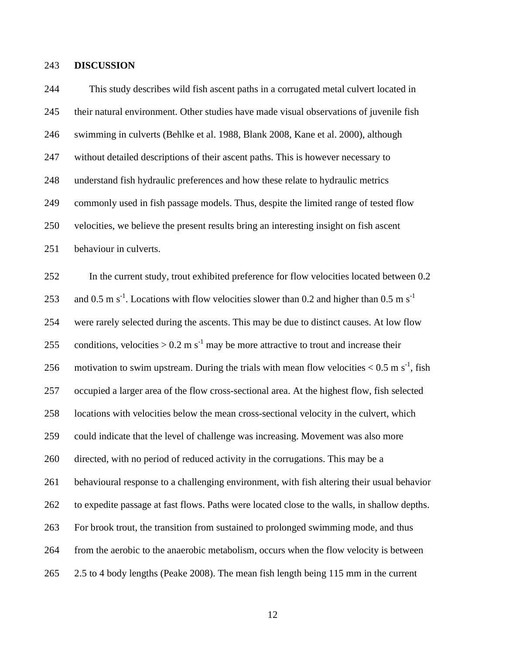#### **DISCUSSION**

 This study describes wild fish ascent paths in a corrugated metal culvert located in their natural environment. Other studies have made visual observations of juvenile fish swimming in culverts (Behlke et al. 1988, Blank 2008, Kane et al. 2000), although without detailed descriptions of their ascent paths. This is however necessary to understand fish hydraulic preferences and how these relate to hydraulic metrics commonly used in fish passage models. Thus, despite the limited range of tested flow velocities, we believe the present results bring an interesting insight on fish ascent behaviour in culverts. In the current study, trout exhibited preference for flow velocities located between 0.2 253 and 0.5 m s<sup>-1</sup>. Locations with flow velocities slower than 0.2 and higher than 0.5 m s<sup>-1</sup> were rarely selected during the ascents. This may be due to distinct causes. At low flow 255 conditions, velocities  $> 0.2$  m s<sup>-1</sup> may be more attractive to trout and increase their 256 motivation to swim upstream. During the trials with mean flow velocities  $< 0.5$  m s<sup>-1</sup>, fish occupied a larger area of the flow cross-sectional area. At the highest flow, fish selected locations with velocities below the mean cross-sectional velocity in the culvert, which could indicate that the level of challenge was increasing. Movement was also more directed, with no period of reduced activity in the corrugations. This may be a behavioural response to a challenging environment, with fish altering their usual behavior to expedite passage at fast flows. Paths were located close to the walls, in shallow depths. For brook trout, the transition from sustained to prolonged swimming mode, and thus from the aerobic to the anaerobic metabolism, occurs when the flow velocity is between 2.5 to 4 body lengths (Peake 2008). The mean fish length being 115 mm in the current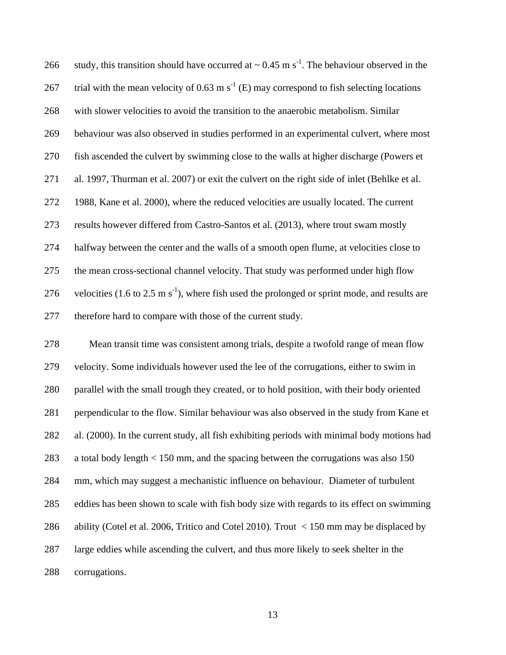266 study, this transition should have occurred at  $\sim 0.45$  m s<sup>-1</sup>. The behaviour observed in the 267 trial with the mean velocity of 0.63 m  $s^{-1}$  (E) may correspond to fish selecting locations with slower velocities to avoid the transition to the anaerobic metabolism. Similar behaviour was also observed in studies performed in an experimental culvert, where most fish ascended the culvert by swimming close to the walls at higher discharge (Powers et al. 1997, Thurman et al. 2007) or exit the culvert on the right side of inlet (Behlke et al. 1988, Kane et al. 2000), where the reduced velocities are usually located. The current results however differed from Castro-Santos et al. (2013), where trout swam mostly halfway between the center and the walls of a smooth open flume, at velocities close to the mean cross-sectional channel velocity. That study was performed under high flow 276 velocities (1.6 to 2.5 m s<sup>-1</sup>), where fish used the prolonged or sprint mode, and results are therefore hard to compare with those of the current study.

 Mean transit time was consistent among trials, despite a twofold range of mean flow velocity. Some individuals however used the lee of the corrugations, either to swim in parallel with the small trough they created, or to hold position, with their body oriented perpendicular to the flow. Similar behaviour was also observed in the study from Kane et al. (2000). In the current study, all fish exhibiting periods with minimal body motions had a total body length < 150 mm, and the spacing between the corrugations was also 150 mm, which may suggest a mechanistic influence on behaviour. Diameter of turbulent eddies has been shown to scale with fish body size with regards to its effect on swimming ability (Cotel et al. 2006, Tritico and Cotel 2010). Trout < 150 mm may be displaced by large eddies while ascending the culvert, and thus more likely to seek shelter in the corrugations.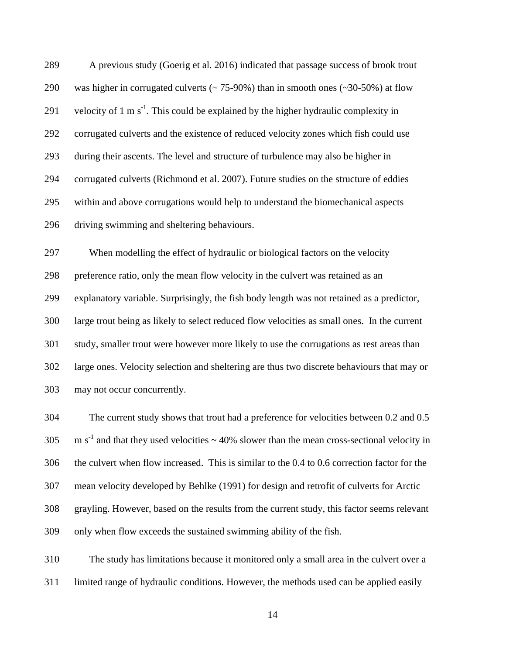A previous study (Goerig et al. 2016) indicated that passage success of brook trout 290 was higher in corrugated culverts ( $\sim$  75-90%) than in smooth ones ( $\sim$ 30-50%) at flow 291 velocity of 1 m  $s^{-1}$ . This could be explained by the higher hydraulic complexity in corrugated culverts and the existence of reduced velocity zones which fish could use during their ascents. The level and structure of turbulence may also be higher in corrugated culverts (Richmond et al. 2007). Future studies on the structure of eddies within and above corrugations would help to understand the biomechanical aspects driving swimming and sheltering behaviours.

 When modelling the effect of hydraulic or biological factors on the velocity preference ratio, only the mean flow velocity in the culvert was retained as an explanatory variable. Surprisingly, the fish body length was not retained as a predictor, large trout being as likely to select reduced flow velocities as small ones. In the current study, smaller trout were however more likely to use the corrugations as rest areas than large ones. Velocity selection and sheltering are thus two discrete behaviours that may or may not occur concurrently.

 The current study shows that trout had a preference for velocities between 0.2 and 0.5  $\text{m s}^{-1}$  and that they used velocities  $\sim$  40% slower than the mean cross-sectional velocity in the culvert when flow increased. This is similar to the 0.4 to 0.6 correction factor for the mean velocity developed by Behlke (1991) for design and retrofit of culverts for Arctic grayling. However, based on the results from the current study, this factor seems relevant only when flow exceeds the sustained swimming ability of the fish.

 The study has limitations because it monitored only a small area in the culvert over a limited range of hydraulic conditions. However, the methods used can be applied easily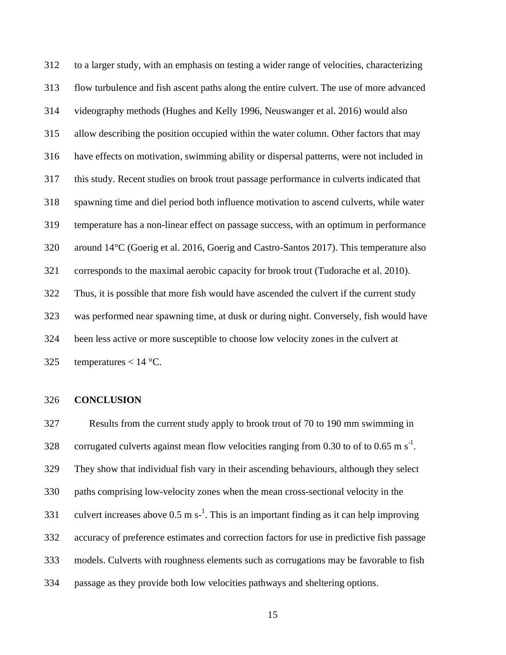to a larger study, with an emphasis on testing a wider range of velocities, characterizing flow turbulence and fish ascent paths along the entire culvert. The use of more advanced videography methods (Hughes and Kelly 1996, Neuswanger et al. 2016) would also allow describing the position occupied within the water column. Other factors that may have effects on motivation, swimming ability or dispersal patterns, were not included in this study. Recent studies on brook trout passage performance in culverts indicated that spawning time and diel period both influence motivation to ascend culverts, while water temperature has a non-linear effect on passage success, with an optimum in performance around 14°C (Goerig et al. 2016, Goerig and Castro-Santos 2017). This temperature also corresponds to the maximal aerobic capacity for brook trout (Tudorache et al. 2010). Thus, it is possible that more fish would have ascended the culvert if the current study was performed near spawning time, at dusk or during night. Conversely, fish would have been less active or more susceptible to choose low velocity zones in the culvert at 325 temperatures  $< 14$  °C.

#### **CONCLUSION**

 Results from the current study apply to brook trout of 70 to 190 mm swimming in 328 corrugated culverts against mean flow velocities ranging from 0.30 to of to 0.65 m s<sup>-1</sup>. They show that individual fish vary in their ascending behaviours, although they select paths comprising low-velocity zones when the mean cross-sectional velocity in the 331 culvert increases above  $0.5 \text{ m s}^{-1}$ . This is an important finding as it can help improving accuracy of preference estimates and correction factors for use in predictive fish passage models. Culverts with roughness elements such as corrugations may be favorable to fish passage as they provide both low velocities pathways and sheltering options.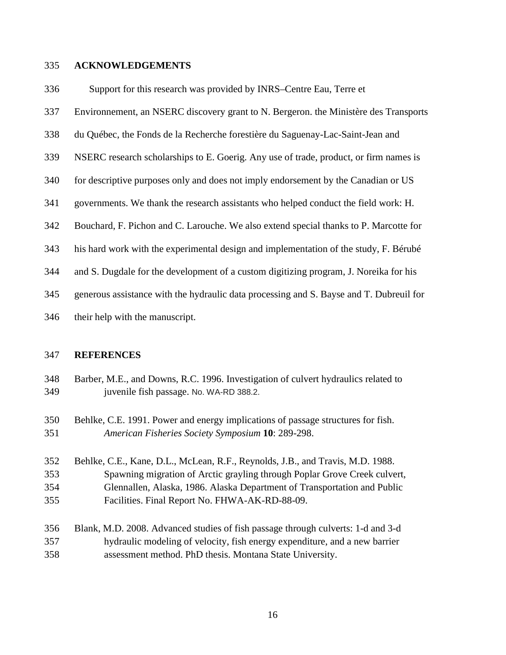#### **ACKNOWLEDGEMENTS**

Support for this research was provided by INRS–Centre Eau, Terre et

- Environnement, an NSERC discovery grant to N. Bergeron. the Ministère des Transports
- du Québec, the Fonds de la Recherche forestière du Saguenay-Lac-Saint-Jean and
- NSERC research scholarships to E. Goerig. Any use of trade, product, or firm names is
- 340 for descriptive purposes only and does not imply endorsement by the Canadian or US
- governments. We thank the research assistants who helped conduct the field work: H.
- Bouchard, F. Pichon and C. Larouche. We also extend special thanks to P. Marcotte for
- his hard work with the experimental design and implementation of the study, F. Bérubé
- and S. Dugdale for the development of a custom digitizing program, J. Noreika for his
- generous assistance with the hydraulic data processing and S. Bayse and T. Dubreuil for
- their help with the manuscript.

### **REFERENCES**

- Barber, M.E., and Downs, R.C. 1996. Investigation of culvert hydraulics related to juvenile fish passage. No. WA-RD 388.2.
- Behlke, C.E. 1991. Power and energy implications of passage structures for fish. *American Fisheries Society Symposium* **10**: 289-298.
- Behlke, C.E., Kane, D.L., McLean, R.F., Reynolds, J.B., and Travis, M.D. 1988. Spawning migration of Arctic grayling through Poplar Grove Creek culvert, Glennallen, Alaska, 1986. Alaska Department of Transportation and Public Facilities. Final Report No. FHWA-AK-RD-88-09.
- Blank, M.D. 2008. Advanced studies of fish passage through culverts: 1-d and 3-d hydraulic modeling of velocity, fish energy expenditure, and a new barrier assessment method. PhD thesis. Montana State University.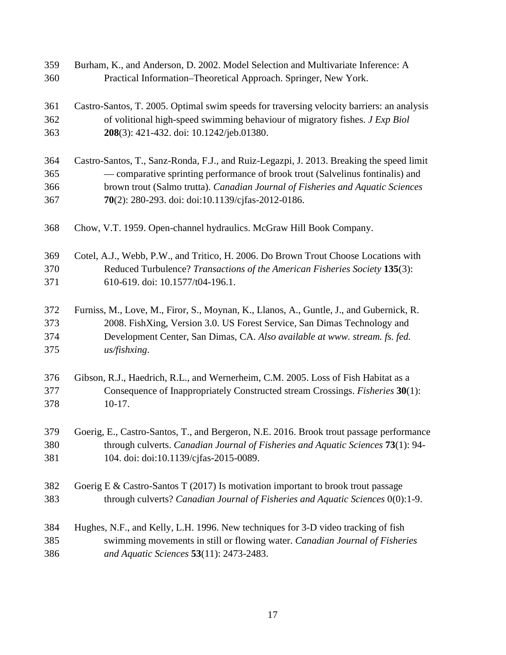| 359 | Burham, K., and Anderson, D. 2002. Model Selection and Multivariate Inference: A          |
|-----|-------------------------------------------------------------------------------------------|
| 360 | Practical Information-Theoretical Approach. Springer, New York.                           |
| 361 | Castro-Santos, T. 2005. Optimal swim speeds for traversing velocity barriers: an analysis |
| 362 | of volitional high-speed swimming behaviour of migratory fishes. J Exp Biol               |
| 363 | 208(3): 421-432. doi: 10.1242/jeb.01380.                                                  |
| 364 | Castro-Santos, T., Sanz-Ronda, F.J., and Ruiz-Legazpi, J. 2013. Breaking the speed limit  |
| 365 | — comparative sprinting performance of brook trout (Salvelinus fontinalis) and            |
| 366 | brown trout (Salmo trutta). Canadian Journal of Fisheries and Aquatic Sciences            |
| 367 | 70(2): 280-293. doi: doi:10.1139/cjfas-2012-0186.                                         |
| 368 | Chow, V.T. 1959. Open-channel hydraulics. McGraw Hill Book Company.                       |
| 369 | Cotel, A.J., Webb, P.W., and Tritico, H. 2006. Do Brown Trout Choose Locations with       |
| 370 | Reduced Turbulence? Transactions of the American Fisheries Society 135(3):                |
| 371 | 610-619. doi: 10.1577/t04-196.1.                                                          |
| 372 | Furniss, M., Love, M., Firor, S., Moynan, K., Llanos, A., Guntle, J., and Gubernick, R.   |
| 373 | 2008. FishXing, Version 3.0. US Forest Service, San Dimas Technology and                  |
| 374 | Development Center, San Dimas, CA. Also available at www. stream. fs. fed.                |
| 375 | us/fishxing.                                                                              |
| 376 | Gibson, R.J., Haedrich, R.L., and Wernerheim, C.M. 2005. Loss of Fish Habitat as a        |
| 377 | Consequence of Inappropriately Constructed stream Crossings. Fisheries 30(1):             |
| 378 | $10-17.$                                                                                  |
| 379 | Goerig, E., Castro-Santos, T., and Bergeron, N.E. 2016. Brook trout passage performance   |
| 380 | through culverts. Canadian Journal of Fisheries and Aquatic Sciences 73(1): 94-           |
| 381 | 104. doi: doi:10.1139/cjfas-2015-0089.                                                    |
| 382 | Goerig E & Castro-Santos T (2017) Is motivation important to brook trout passage          |
| 383 | through culverts? Canadian Journal of Fisheries and Aquatic Sciences 0(0):1-9.            |
| 384 | Hughes, N.F., and Kelly, L.H. 1996. New techniques for 3-D video tracking of fish         |
| 385 | swimming movements in still or flowing water. Canadian Journal of Fisheries               |
| 386 | and Aquatic Sciences 53(11): 2473-2483.                                                   |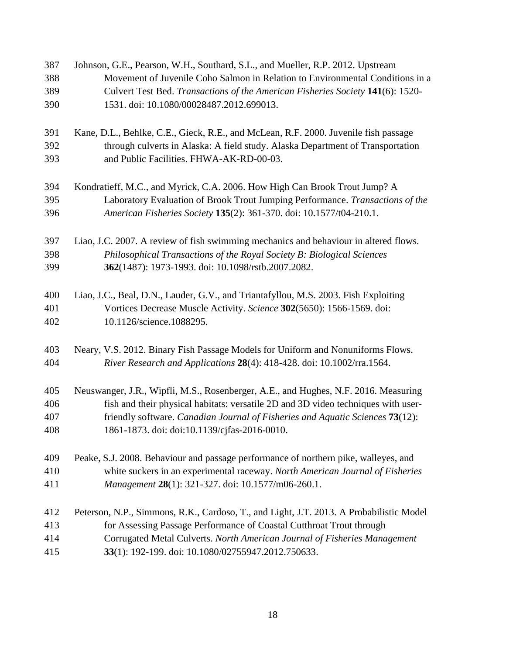| 387<br>388 | Johnson, G.E., Pearson, W.H., Southard, S.L., and Mueller, R.P. 2012. Upstream<br>Movement of Juvenile Coho Salmon in Relation to Environmental Conditions in a |
|------------|-----------------------------------------------------------------------------------------------------------------------------------------------------------------|
| 389        | Culvert Test Bed. Transactions of the American Fisheries Society 141(6): 1520-                                                                                  |
| 390        | 1531. doi: 10.1080/00028487.2012.699013.                                                                                                                        |
| 391        | Kane, D.L., Behlke, C.E., Gieck, R.E., and McLean, R.F. 2000. Juvenile fish passage                                                                             |
| 392<br>393 | through culverts in Alaska: A field study. Alaska Department of Transportation<br>and Public Facilities. FHWA-AK-RD-00-03.                                      |
| 394        | Kondratieff, M.C., and Myrick, C.A. 2006. How High Can Brook Trout Jump? A                                                                                      |
| 395        | Laboratory Evaluation of Brook Trout Jumping Performance. Transactions of the                                                                                   |
| 396        | American Fisheries Society 135(2): 361-370. doi: 10.1577/t04-210.1.                                                                                             |
| 397        | Liao, J.C. 2007. A review of fish swimming mechanics and behaviour in altered flows.                                                                            |
| 398        | Philosophical Transactions of the Royal Society B: Biological Sciences                                                                                          |
| 399        | 362(1487): 1973-1993. doi: 10.1098/rstb.2007.2082.                                                                                                              |
| 400        | Liao, J.C., Beal, D.N., Lauder, G.V., and Triantafyllou, M.S. 2003. Fish Exploiting                                                                             |
| 401        | Vortices Decrease Muscle Activity. Science 302(5650): 1566-1569. doi:                                                                                           |
| 402        | 10.1126/science.1088295.                                                                                                                                        |
| 403        | Neary, V.S. 2012. Binary Fish Passage Models for Uniform and Nonuniforms Flows.                                                                                 |
| 404        | River Research and Applications 28(4): 418-428. doi: 10.1002/rra.1564.                                                                                          |
| 405        | Neuswanger, J.R., Wipfli, M.S., Rosenberger, A.E., and Hughes, N.F. 2016. Measuring                                                                             |
| 406        | fish and their physical habitats: versatile 2D and 3D video techniques with user-                                                                               |
| 407        | friendly software. Canadian Journal of Fisheries and Aquatic Sciences 73(12):                                                                                   |
| 408        | 1861-1873. doi: doi:10.1139/cjfas-2016-0010.                                                                                                                    |
| 409        | Peake, S.J. 2008. Behaviour and passage performance of northern pike, walleyes, and                                                                             |
| 410        | white suckers in an experimental raceway. North American Journal of Fisheries                                                                                   |
| 411        | Management 28(1): 321-327. doi: 10.1577/m06-260.1.                                                                                                              |
| 412        | Peterson, N.P., Simmons, R.K., Cardoso, T., and Light, J.T. 2013. A Probabilistic Model                                                                         |
| 413        | for Assessing Passage Performance of Coastal Cutthroat Trout through                                                                                            |
| 414        | Corrugated Metal Culverts. North American Journal of Fisheries Management                                                                                       |
| 415        | 33(1): 192-199. doi: 10.1080/02755947.2012.750633.                                                                                                              |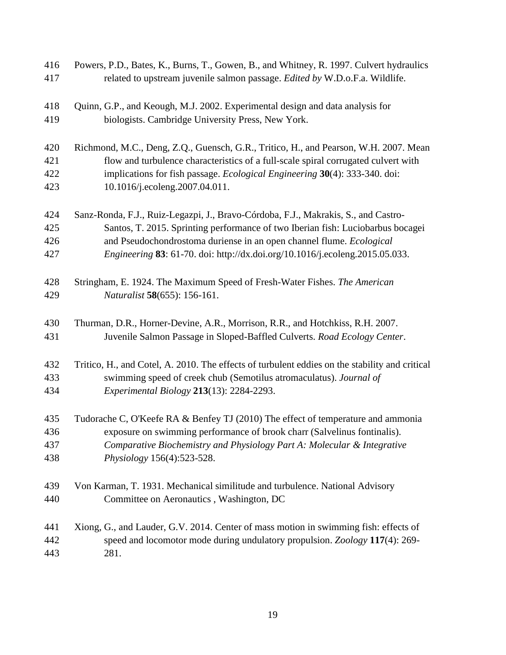| 416<br>417 | Powers, P.D., Bates, K., Burns, T., Gowen, B., and Whitney, R. 1997. Culvert hydraulics<br>related to upstream juvenile salmon passage. Edited by W.D.o.F.a. Wildlife. |  |  |
|------------|------------------------------------------------------------------------------------------------------------------------------------------------------------------------|--|--|
| 418        | Quinn, G.P., and Keough, M.J. 2002. Experimental design and data analysis for                                                                                          |  |  |
| 419        | biologists. Cambridge University Press, New York.                                                                                                                      |  |  |
| 420        | Richmond, M.C., Deng, Z.Q., Guensch, G.R., Tritico, H., and Pearson, W.H. 2007. Mean                                                                                   |  |  |
| 421        | flow and turbulence characteristics of a full-scale spiral corrugated culvert with                                                                                     |  |  |
| 422        | implications for fish passage. <i>Ecological Engineering</i> 30(4): 333-340. doi:                                                                                      |  |  |
| 423        | 10.1016/j.ecoleng.2007.04.011.                                                                                                                                         |  |  |
| 424        | Sanz-Ronda, F.J., Ruiz-Legazpi, J., Bravo-Córdoba, F.J., Makrakis, S., and Castro-                                                                                     |  |  |
| 425        | Santos, T. 2015. Sprinting performance of two Iberian fish: Luciobarbus bocagei                                                                                        |  |  |
| 426        | and Pseudochondrostoma duriense in an open channel flume. Ecological                                                                                                   |  |  |
| 427        | Engineering 83: 61-70. doi: http://dx.doi.org/10.1016/j.ecoleng.2015.05.033.                                                                                           |  |  |
| 428        | Stringham, E. 1924. The Maximum Speed of Fresh-Water Fishes. The American                                                                                              |  |  |
| 429        | Naturalist 58(655): 156-161.                                                                                                                                           |  |  |
| 430        | Thurman, D.R., Horner-Devine, A.R., Morrison, R.R., and Hotchkiss, R.H. 2007.                                                                                          |  |  |
| 431        | Juvenile Salmon Passage in Sloped-Baffled Culverts. Road Ecology Center.                                                                                               |  |  |
| 432        | Tritico, H., and Cotel, A. 2010. The effects of turbulent eddies on the stability and critical                                                                         |  |  |
| 433        | swimming speed of creek chub (Semotilus atromaculatus). Journal of                                                                                                     |  |  |
| 434        | Experimental Biology 213(13): 2284-2293.                                                                                                                               |  |  |
| 435        | Tudorache C, O'Keefe RA & Benfey TJ (2010) The effect of temperature and ammonia                                                                                       |  |  |
| 436        | exposure on swimming performance of brook charr (Salvelinus fontinalis).                                                                                               |  |  |
| 437        | Comparative Biochemistry and Physiology Part A: Molecular & Integrative                                                                                                |  |  |
| 438        | Physiology 156(4):523-528.                                                                                                                                             |  |  |
| 439        | Von Karman, T. 1931. Mechanical similitude and turbulence. National Advisory                                                                                           |  |  |
| 440        | Committee on Aeronautics, Washington, DC                                                                                                                               |  |  |
| 441        | Xiong, G., and Lauder, G.V. 2014. Center of mass motion in swimming fish: effects of                                                                                   |  |  |
| 442        | speed and locomotor mode during undulatory propulsion. Zoology 117(4): 269-                                                                                            |  |  |
| 443        | 281.                                                                                                                                                                   |  |  |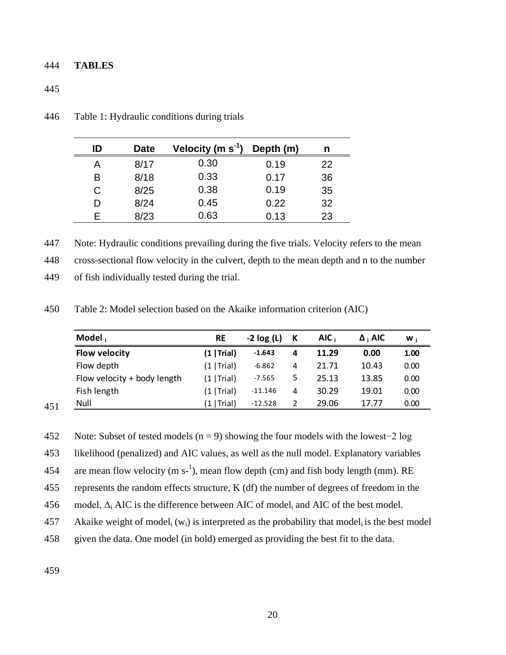### 444 **TABLES**

### 445

| ID | Date | Velocity (m $s^{-1}$ ) | Depth (m) | n  |
|----|------|------------------------|-----------|----|
| Α  | 8/17 | 0.30                   | 0.19      | 22 |
| В  | 8/18 | 0.33                   | 0.17      | 36 |
| С  | 8/25 | 0.38                   | 0.19      | 35 |
| D  | 8/24 | 0.45                   | 0.22      | 32 |
| F  | 8/23 | 0.63                   | 0.13      | 23 |

446 Table 1: Hydraulic conditions during trials

447 Note: Hydraulic conditions prevailing during the five trials. Velocity refers to the mean

448 cross-sectional flow velocity in the culvert, depth to the mean depth and n to the number

450 Table 2: Model selection based on the Akaike information criterion (AIC)

| Model,                      | RE            | $-2 log(L)$ | К | AIC <sub>i</sub> | $\Delta$ ; AIC | W:   |
|-----------------------------|---------------|-------------|---|------------------|----------------|------|
| <b>Flow velocity</b>        | (1   Trial)   | $-1.643$    | 4 | 11.29            | 0.00           | 1.00 |
| Flow depth                  | (1   Trial)   | $-6.862$    | 4 | 21.71            | 10.43          | 0.00 |
| Flow velocity + body length | (1   Trial)   | $-7.565$    | 5 | 25.13            | 13.85          | 0.00 |
| Fish length                 | $(1  $ Trial) | $-11.146$   | 4 | 30.29            | 19.01          | 0.00 |
| Null                        | $(1  $ Trial) | $-12.528$   | 2 | 29.06            | 17.77          | 0.00 |

<sup>451</sup>

452 Note: Subset of tested models (n = 9) showing the four models with the lowest−2 log

453 likelihood (penalized) and AIC values, as well as the null model. Explanatory variables

454 are mean flow velocity (m s<sup>-1</sup>), mean flow depth (cm) and fish body length (mm). RE

455 represents the random effects structure, K (df) the number of degrees of freedom in the

456 model,  $\Delta_i$  AIC is the difference between AIC of model<sub>i</sub> and AIC of the best model.

457 Akaike weight of model<sub>i</sub> (w<sub>i</sub>) is interpreted as the probability that model<sub>i</sub> is the best model

458 given the data. One model (in bold) emerged as providing the best fit to the data.

<sup>449</sup> of fish individually tested during the trial.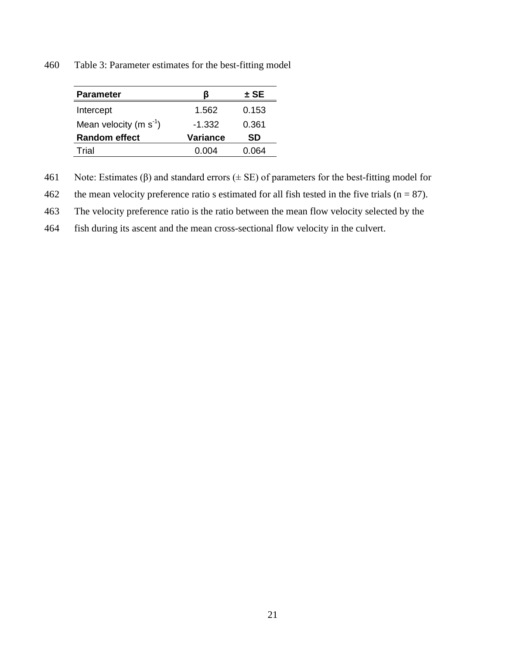460 Table 3: Parameter estimates for the best-fitting model

| <b>Parameter</b>            | ĸ               | $\pm$ SE |
|-----------------------------|-----------------|----------|
| Intercept                   | 1.562           | 0.153    |
| Mean velocity (m $s^{-1}$ ) | $-1.332$        | 0.361    |
| <b>Random effect</b>        | <b>Variance</b> | SD       |
| Trial                       | በ በበ4           | በ64      |

461 Note: Estimates ( $\beta$ ) and standard errors ( $\pm$  SE) of parameters for the best-fitting model for

462 the mean velocity preference ratio s estimated for all fish tested in the five trials  $(n = 87)$ .

463 The velocity preference ratio is the ratio between the mean flow velocity selected by the

464 fish during its ascent and the mean cross-sectional flow velocity in the culvert.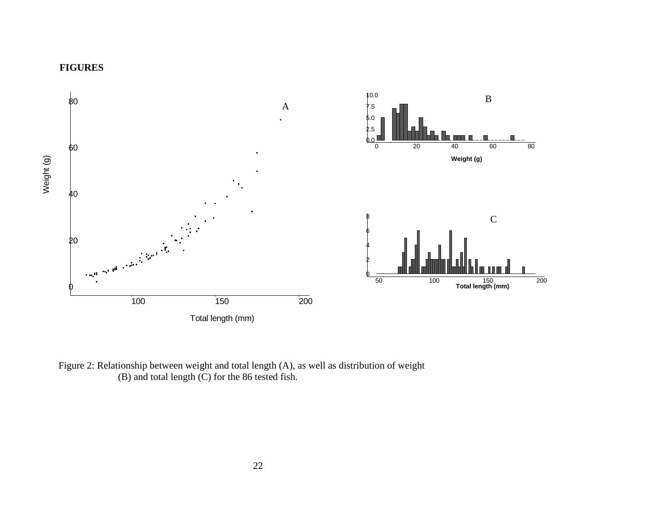



Figure 2: Relationship between weight and total length (A), as well as distribution of weight (B) and total length (C) for the 86 tested fish.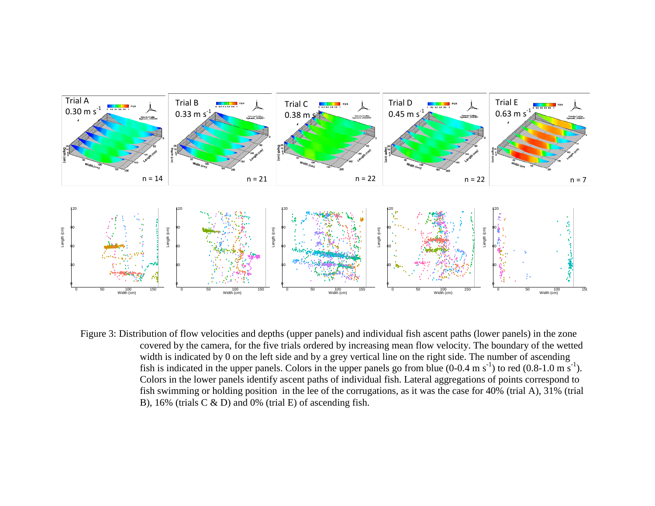

Figure 3: Distribution of flow velocities and depths (upper panels) and individual fish ascent paths (lower panels) in the zone covered by the camera, for the five trials ordered by increasing mean flow velocity. The boundary of the wetted width is indicated by 0 on the left side and by a grey vertical line on the right side. The number of ascending fish is indicated in the upper panels. Colors in the upper panels go from blue  $(0-0.4 \text{ m s}^{-1})$  to red  $(0.8-1.0 \text{ m s}^{-1})$ . Colors in the lower panels identify ascent paths of individual fish. Lateral aggregations of points correspond to fish swimming or holding position in the lee of the corrugations, as it was the case for 40% (trial A), 31% (trial B), 16% (trials C & D) and 0% (trial E) of ascending fish.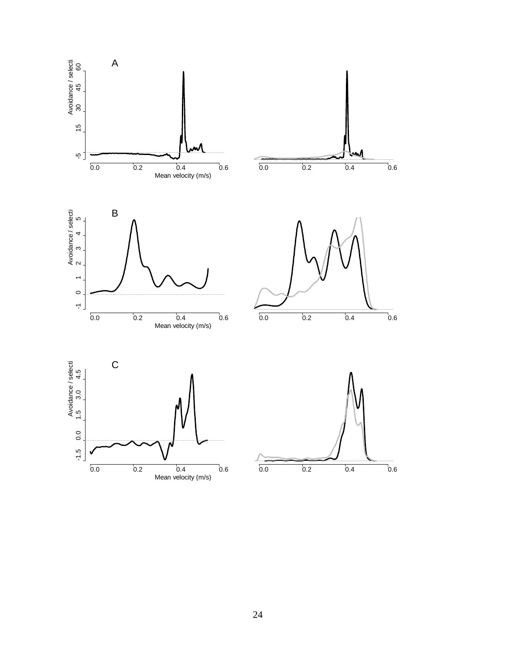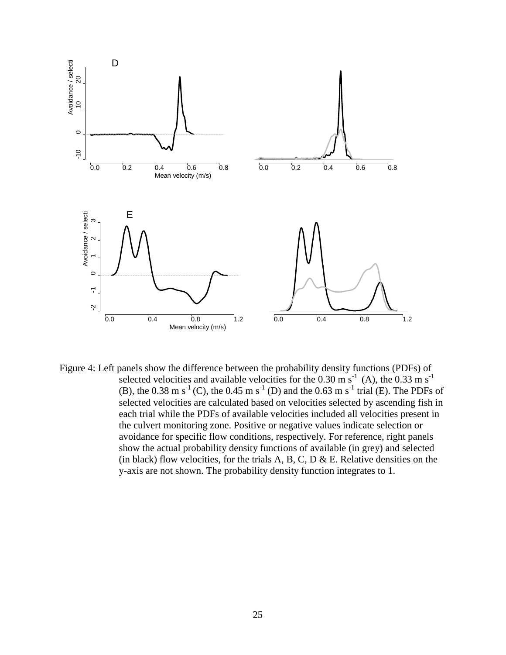

Figure 4: Left panels show the difference between the probability density functions (PDFs) of selected velocities and available velocities for the 0.30 m s<sup>-1</sup> (A), the 0.33 m s<sup>-1</sup> (B), the 0.38 m s<sup>-1</sup> (C), the 0.45 m s<sup>-1</sup> (D) and the 0.63 m s<sup>-1</sup> trial (E). The PDFs of selected velocities are calculated based on velocities selected by ascending fish in each trial while the PDFs of available velocities included all velocities present in the culvert monitoring zone. Positive or negative values indicate selection or avoidance for specific flow conditions, respectively. For reference, right panels show the actual probability density functions of available (in grey) and selected (in black) flow velocities, for the trials A, B, C, D  $\&$  E. Relative densities on the y-axis are not shown. The probability density function integrates to 1.